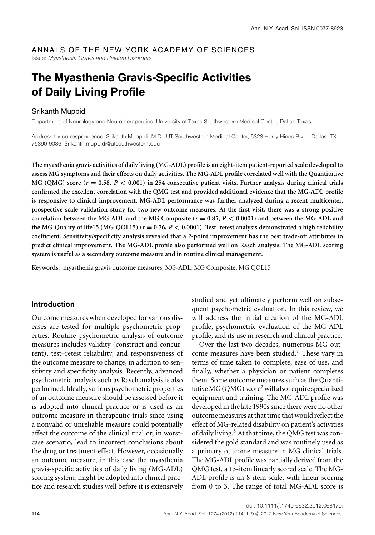## ANNALS OF THE NEW YORK ACADEMY OF SCIENCES Issue: *Myasthenia Gravis and Related Disorders*

# **The Myasthenia Gravis-Specific Activities of Daily Living Profile**

#### Srikanth Muppidi

Department of Neurology and Neurotherapeutics, University of Texas Southwestern Medical Center, Dallas Texas

Address for correspondence: Srikanth Muppidi, M.D., UT Southwestern Medical Center, 5323 Harry Hines Blvd., Dallas, TX 75390-9036. Srikanth.muppidi@utsouthwestern.edu

**The myasthenia gravis activities of daily living (MG-ADL) profile is an eight-item patient-reported scale developed to assess MG symptoms and their effects on daily activities. The MG-ADL profile correlated well with the Quantitative MG (QMG) score (***r* **= 0.58,** *P <* **0.001) in 254 consecutive patient visits. Further analysis during clinical trials confirmed the excellent correlation with the QMG test and provided additional evidence that the MG-ADL profile is responsive to clinical improvement. MG-ADL performance was further analyzed during a recent multicenter, prospective scale validation study for two new outcome measures. At the first visit, there was a strong positive correlation between the MG-ADL and the MG Composite (** $r = 0.85$ **,**  $P < 0.0001$ **) and between the MG-ADL and the MG-Quality of life15 (MG-QOL15) (***r* **= 0.76,** *P <* **0.0001). Test–retest analysis demonstrated a high reliability coefficient. Sensitivity/specificity analysis revealed that a 2-point improvement has the best trade-off attributes to predict clinical improvement. The MG-ADL profile also performed well on Rasch analysis. The MG-ADL scoring system is useful as a secondary outcome measure and in routine clinical management.**

**Keywords:** myasthenia gravis outcome measures; MG-ADL; MG Composite; MG QOL15

#### **Introduction**

Outcome measures when developed for various diseases are tested for multiple psychometric properties. Routine psychometric analysis of outcome measures includes validity (construct and concurrent), test–retest reliability, and responsiveness of the outcome measure to change, in addition to sensitivity and specificity analysis. Recently, advanced psychometric analysis such as Rasch analysis is also performed. Ideally, various psychometric properties of an outcome measure should be assessed before it is adopted into clinical practice or is used as an outcome measure in therapeutic trials since using a nonvalid or unreliable measure could potentially affect the outcome of the clinical trial or, in worstcase scenario, lead to incorrect conclusions about the drug or treatment effect. However, occasionally an outcome measure, in this case the myasthenia gravis-specific activities of daily living (MG-ADL) scoring system, might be adopted into clinical practice and research studies well before it is extensively

studied and yet ultimately perform well on subsequent psychometric evaluation. In this review, we will address the initial creation of the MG-ADL profile, psychometric evaluation of the MG-ADL profile, and its use in research and clinical practice.

Over the last two decades, numerous MG outcome measures have been studied.<sup>1</sup> These vary in terms of time taken to complete, ease of use, and finally, whether a physician or patient completes them. Some outcome measures such as the Quantitative MG (QMG) score<sup>2</sup> will also require specialized equipment and training. The MG-ADL profile was developed in the late 1990s since there were no other outcome measures at that time that would reflect the effect of MG-related disability on patient's activities of daily living.<sup>3</sup> At that time, the QMG test was considered the gold standard and was routinely used as a primary outcome measure in MG clinical trials. The MG-ADL profile was partially derived from the QMG test, a 13-item linearly scored scale. The MG-ADL profile is an 8-item scale, with linear scoring from 0 to 3. The range of total MG-ADL score is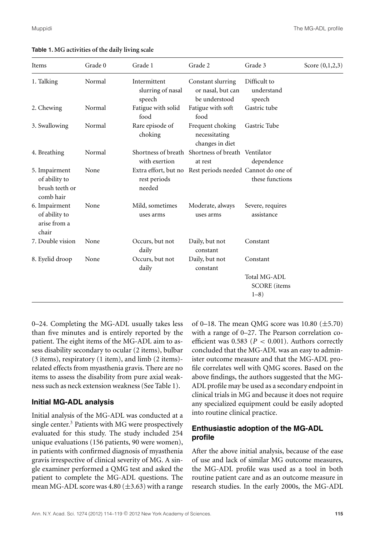| Items                                                         | Grade 0 | Grade 1                                     | Grade 2                                                       | Grade 3                              | Score $(0,1,2,3)$ |
|---------------------------------------------------------------|---------|---------------------------------------------|---------------------------------------------------------------|--------------------------------------|-------------------|
| 1. Talking                                                    | Normal  | Intermittent<br>slurring of nasal<br>speech | Constant slurring<br>or nasal, but can<br>be understood       | Difficult to<br>understand<br>speech |                   |
| 2. Chewing                                                    | Normal  | Fatigue with solid<br>food                  | Fatigue with soft<br>food                                     | Gastric tube                         |                   |
| 3. Swallowing                                                 | Normal  | Rare episode of<br>choking                  | Frequent choking<br>necessitating<br>changes in diet          | Gastric Tube                         |                   |
| 4. Breathing                                                  | Normal  | with exertion                               | Shortness of breath Shortness of breath Ventilator<br>at rest | dependence                           |                   |
| 5. Impairment<br>of ability to<br>brush teeth or<br>comb hair | None    | rest periods<br>needed                      | Extra effort, but no Rest periods needed Cannot do one of     | these functions                      |                   |
| 6. Impairment<br>of ability to<br>arise from a<br>chair       | None    | Mild, sometimes<br>uses arms                | Moderate, always<br>uses arms                                 | Severe, requires<br>assistance       |                   |
| 7. Double vision                                              | None    | Occurs, but not<br>daily                    | Daily, but not<br>constant                                    | Constant                             |                   |
| 8. Eyelid droop                                               | None    | Occurs, but not<br>daily                    | Daily, but not<br>constant                                    | Constant                             |                   |
|                                                               |         |                                             |                                                               | <b>Total MG-ADL</b>                  |                   |
|                                                               |         |                                             |                                                               | <b>SCORE</b> (items                  |                   |
|                                                               |         |                                             |                                                               | $1 - 8$ )                            |                   |

**Table 1. MG activities of the daily living scale**

0–24. Completing the MG-ADL usually takes less than five minutes and is entirely reported by the patient. The eight items of the MG-ADL aim to assess disability secondary to ocular (2 items), bulbar (3 items), respiratory (1 item), and limb (2 items) related effects from myasthenia gravis. There are no items to assess the disability from pure axial weakness such as neck extension weakness (See Table 1).

## **Initial MG-ADL analysis**

Initial analysis of the MG-ADL was conducted at a single center.<sup>3</sup> Patients with MG were prospectively evaluated for this study. The study included 254 unique evaluations (156 patients, 90 were women), in patients with confirmed diagnosis of myasthenia gravis irrespective of clinical severity of MG. A single examiner performed a QMG test and asked the patient to complete the MG-ADL questions. The mean MG-ADL score was  $4.80 \, (\pm 3.63)$  with a range of 0–18. The mean QMG score was  $10.80$  ( $\pm$ 5.70) with a range of 0–27. The Pearson correlation coefficient was  $0.583$  ( $P < 0.001$ ). Authors correctly concluded that the MG-ADL was an easy to administer outcome measure and that the MG-ADL profile correlates well with QMG scores. Based on the above findings, the authors suggested that the MG-ADL profile may be used as a secondary endpoint in clinical trials in MG and because it does not require any specialized equipment could be easily adopted into routine clinical practice.

# **Enthusiastic adoption of the MG-ADL profile**

After the above initial analysis, because of the ease of use and lack of similar MG outcome measures, the MG-ADL profile was used as a tool in both routine patient care and as an outcome measure in research studies. In the early 2000s, the MG-ADL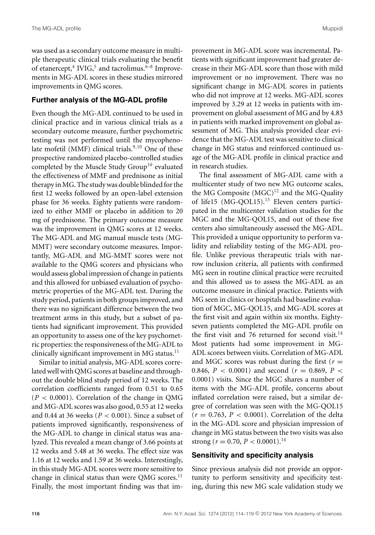was used as a secondary outcome measure in multiple therapeutic clinical trials evaluating the benefit of etanercept, $4$  IVIG, $5$  and tacrolimus.<sup>6–8</sup> Improvements in MG-ADL scores in these studies mirrored improvements in QMG scores.

#### **Further analysis of the MG-ADL profile**

Even though the MG-ADL continued to be used in clinical practice and in various clinical trials as a secondary outcome measure, further psychometric testing was not performed until the mycophenolate mofetil (MMF) clinical trials.<sup>9,10</sup> One of these prospective randomized placebo-controlled studies completed by the Muscle Study Group<sup>10</sup> evaluated the effectiveness of MMF and prednisone as initial therapy in MG. The study was double blinded for the first 12 weeks followed by an open-label extension phase for 36 weeks. Eighty patients were randomized to either MMF or placebo in addition to 20 mg of prednisone. The primary outcome measure was the improvement in QMG scores at 12 weeks. The MG-ADL and MG manual muscle tests (MG-MMT) were secondary outcome measures. Importantly, MG-ADL and MG-MMT scores were not available to the QMG scorers and physicians who would assess global impression of change in patients and this allowed for unbiased evaluation of psychometric properties of the MG-ADL test. During the study period, patients in both groups improved, and there was no significant difference between the two treatment arms in this study, but a subset of patients had significant improvement. This provided an opportunity to assess one of the key psychometric properties: the responsiveness of the MG-ADL to clinically significant improvement in  $MG$  status.<sup>11</sup>

Similar to initial analysis, MG-ADL scores correlated well with QMG scores at baseline and throughout the double blind study period of 12 weeks. The correlation coefficients ranged from 0.51 to 0.65  $(P < 0.0001)$ . Correlation of the change in QMG and MG-ADL scores was also good, 0.55 at 12 weeks and 0.44 at 36 weeks (*P* < 0.001). Since a subset of patients improved significantly, responsiveness of the MG-ADL to change in clinical status was analyzed. This revealed a mean change of 3.66 points at 12 weeks and 5.48 at 36 weeks. The effect size was 1.16 at 12 weeks and 1.59 at 36 weeks. Interestingly, in this study MG-ADL scores were more sensitive to change in clinical status than were QMG scores. $^{11}$ Finally, the most important finding was that improvement in MG-ADL score was incremental. Patients with significant improvement had greater decrease in their MG-ADL score than those with mild improvement or no improvement. There was no significant change in MG-ADL scores in patients who did not improve at 12 weeks. MG-ADL scores improved by 3.29 at 12 weeks in patients with improvement on global assessment of MG and by 4.83 in patients with marked improvement on global assessment of MG. This analysis provided clear evidence that the MG-ADL test was sensitive to clinical change in MG status and reinforced continued usage of the MG-ADL profile in clinical practice and in research studies.

The final assessment of MG-ADL came with a multicenter study of two new MG outcome scales, the MG Composite  $(MGC)^{12}$  and the MG-Quality of life15 (MG-QOL15).<sup>13</sup> Eleven centers participated in the multicenter validation studies for the MGC and the MG-QOL15, and out of these five centers also simultaneously assessed the MG-ADL. This provided a unique opportunity to perform validity and reliability testing of the MG-ADL profile. Unlike previous therapeutic trials with narrow inclusion criteria, all patients with confirmed MG seen in routine clinical practice were recruited and this allowed us to assess the MG-ADL as an outcome measure in clinical practice. Patients with MG seen in clinics or hospitals had baseline evaluation of MGC, MG-QOL15, and MG-ADL scores at the first visit and again within six months. Eightyseven patients completed the MG-ADL profile on the first visit and 76 returned for second visit. $14$ Most patients had some improvement in MG-ADL scores between visits. Correlation of MG-ADL and MGC scores was robust during the first  $(r =$ 0.846,  $P < 0.0001$ ) and second ( $r = 0.869$ ,  $P <$ 0.0001) visits. Since the MGC shares a number of items with the MG-ADL profile, concerns about inflated correlation were raised, but a similar degree of correlation was seen with the MG-QOL15  $(r = 0.763, P < 0.0001)$ . Correlation of the delta in the MG-ADL score and physician impression of change in MG status between the two visits was also strong ( $r = 0.70$ ,  $P < 0.0001$ ).<sup>14</sup>

## **Sensitivity and specificity analysis**

Since previous analysis did not provide an opportunity to perform sensitivity and specificity testing, during this new MG scale validation study we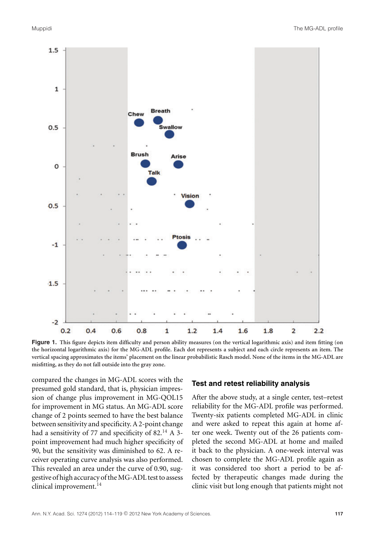

**Figure 1. This figure depicts item difficulty and person ability measures (on the vertical logarithmic axis) and item fitting (on the horizontal logarithmic axis) for the MG-ADL profile. Each dot represents a subject and each circle represents an item. The vertical spacing approximates the items' placement on the linear probabilistic Rasch model. None of the items in the MG-ADL are misfitting, as they do not fall outside into the gray zone.**

compared the changes in MG-ADL scores with the presumed gold standard, that is, physician impression of change plus improvement in MG-QOL15 for improvement in MG status. An MG-ADL score change of 2 points seemed to have the best balance between sensitivity and specificity. A 2-point change had a sensitivity of 77 and specificity of 82. $^{14}$  A 3point improvement had much higher specificity of 90, but the sensitivity was diminished to 62. A receiver operating curve analysis was also performed. This revealed an area under the curve of 0.90, suggestive of high accuracy of theMG-ADL test to assess clinical improvement.<sup>14</sup>

#### **Test and retest reliability analysis**

After the above study, at a single center, test–retest reliability for the MG-ADL profile was performed. Twenty-six patients completed MG-ADL in clinic and were asked to repeat this again at home after one week. Twenty out of the 26 patients completed the second MG-ADL at home and mailed it back to the physician. A one-week interval was chosen to complete the MG-ADL profile again as it was considered too short a period to be affected by therapeutic changes made during the clinic visit but long enough that patients might not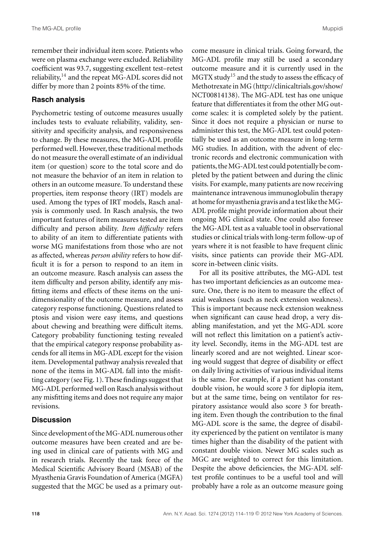remember their individual item score. Patients who were on plasma exchange were excluded. Reliability coefficient was 93.7, suggesting excellent test–retest reliability, $14$  and the repeat MG-ADL scores did not differ by more than 2 points 85% of the time.

# **Rasch analysis**

Psychometric testing of outcome measures usually includes tests to evaluate reliability, validity, sensitivity and specificity analysis, and responsiveness to change. By these measures, the MG-ADL profile performed well. However, these traditional methods do not measure the overall estimate of an individual item (or question) score to the total score and do not measure the behavior of an item in relation to others in an outcome measure. To understand these properties, item response theory (IRT) models are used. Among the types of IRT models, Rasch analysis is commonly used. In Rasch analysis, the two important features of item measures tested are item difficulty and person ability. *Item difficulty* refers to ability of an item to differentiate patients with worse MG manifestations from those who are not as affected, whereas *person ability* refers to how difficult it is for a person to respond to an item in an outcome measure. Rasch analysis can assess the item difficulty and person ability, identify any misfitting items and effects of these items on the unidimensionality of the outcome measure, and assess category response functioning. Questions related to ptosis and vision were easy items, and questions about chewing and breathing were difficult items. Category probability functioning testing revealed that the empirical category response probability ascends for all items in MG-ADL except for the vision item. Developmental pathway analysis revealed that none of the items in MG-ADL fall into the misfitting category (see Fig. 1). These findings suggest that MG-ADL performed well on Rasch analysis without any misfitting items and does not require any major revisions.

# **Discussion**

Since development of the MG-ADL numerous other outcome measures have been created and are being used in clinical care of patients with MG and in research trials. Recently the task force of the Medical Scientific Advisory Board (MSAB) of the Myasthenia Gravis Foundation of America (MGFA) suggested that the MGC be used as a primary outcome measure in clinical trials. Going forward, the MG-ADL profile may still be used a secondary outcome measure and it is currently used in the  $MGTX$  study<sup>15</sup> and the study to assess the efficacy of Methotrexate in MG [\(http://clinicaltrials.gov/show/](http://clinicaltrials.gov/show/ ignorespaces NCT00814138) [NCT00814138\)](http://clinicaltrials.gov/show/ ignorespaces NCT00814138). The MG-ADL test has one unique feature that differentiates it from the other MG outcome scales: it is completed solely by the patient. Since it does not require a physician or nurse to administer this test, the MG-ADL test could potentially be used as an outcome measure in long-term MG studies. In addition, with the advent of electronic records and electronic communication with patients, theMG-ADL test could potentially be completed by the patient between and during the clinic visits. For example, many patients are now receiving maintenance intravenous immunoglobulin therapy at home for myasthenia gravis and a test like the MG-ADL profile might provide information about their ongoing MG clinical state. One could also foresee the MG-ADL test as a valuable tool in observational studies or clinical trials with long-term follow-up of years where it is not feasible to have frequent clinic visits, since patients can provide their MG-ADL score in-between clinic visits.

For all its positive attributes, the MG-ADL test has two important deficiencies as an outcome measure. One, there is no item to measure the effect of axial weakness (such as neck extension weakness). This is important because neck extension weakness when significant can cause head drop, a very disabling manifestation, and yet the MG-ADL score will not reflect this limitation on a patient's activity level. Secondly, items in the MG-ADL test are linearly scored and are not weighted. Linear scoring would suggest that degree of disability or effect on daily living activities of various individual items is the same. For example, if a patient has constant double vision, he would score 3 for diplopia item, but at the same time, being on ventilator for respiratory assistance would also score 3 for breathing item. Even though the contribution to the final MG-ADL score is the same, the degree of disability experienced by the patient on ventilator is many times higher than the disability of the patient with constant double vision. Newer MG scales such as MGC are weighted to correct for this limitation. Despite the above deficiencies, the MG-ADL selftest profile continues to be a useful tool and will probably have a role as an outcome measure going